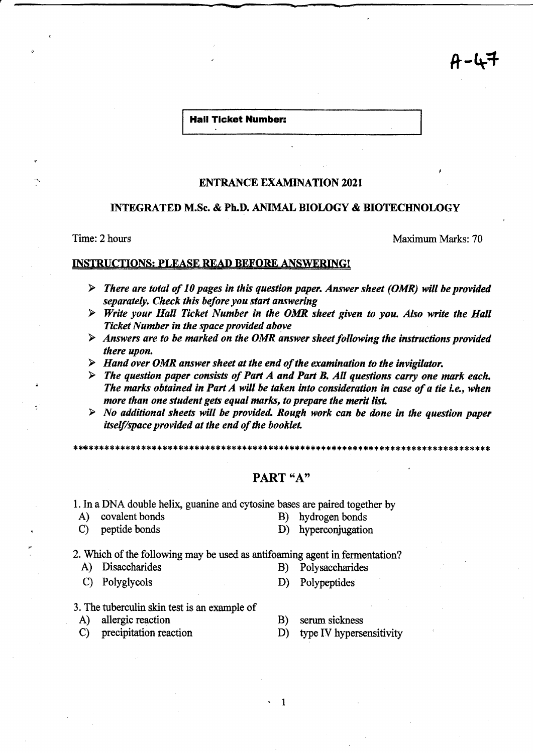**Hall Ticket Number:** 

~-

## ENTRANCE EXAMINATION 2021

## INTEGRATED M.Sc. & Ph.D. ANIMAL BIOLOGY & BIOTECHNOLOGY

Time: 2 hours Maximum Marks: 70

4-47

### INSTRUCTIONS: PLEASE READ BEFORE ANSWERING!

- $\triangleright$  There are total of 10 pages in this question paper. Answer sheet (OMR) will be provided *separately. Check this before you start answering*
- <sup>~</sup>*Write your Hall Ticket Number in the OMR sheet given to you. Also write the Hall Ticket Number in the space provided above*
- <sup>~</sup>*Answers are to be marked on the OMR answer sheet following the instructions provided there upon.*
- <sup>~</sup>*Hand over OMR answer sheet at the end of the examination to the invigilator.*
- <sup>~</sup>*The question paper consists of Part A and Part B. All questions carry one mark each. The marks obtained in Part A will be taken into consideration in case of a tie i.e., when more than one student gets equal marks, to prepare the merit list.*
- <sup>~</sup>*No additional sheets will be provided. Rough work can be done in the question paper itself/space provided at the end of the booklet.*

\*\*\*\*\*\*\*\*\*\*\*\*\*\*\*\*\*\*\*\*\*\*\*\*\*\*\*\*\*\*

# PART "A"

. 1

1. In a DNA double helix, guanine and cytosine bases are paired together by

- A) covalent bonds B) hydrogen bonds
- C) peptide bonds D) hyperconjugation

2. Which of the following may be used as antifoaming agent in fermentation?

- A) Disaccharides B) Polysaccharides
- C) Polyglycols D) Polypeptides
- -
- 3. The tuberculin skin test is an example of
- A) allergic reaction
- C) precipitation reaction
- B) serum sickness
- D) type IV hypersensitivity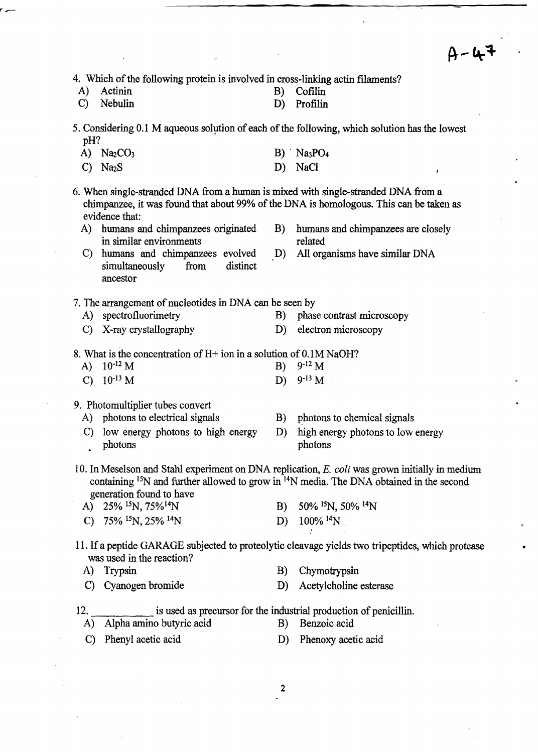$A - 47$ 

4. Which of the following protein is involved in cross-linking actin filaments?<br>A) Actinin B) Cofilin

| A) Actinin |  | B) Cofilin |
|------------|--|------------|
|            |  |            |

- C) Nebulin D) Profilin
- 5. Considering 0.1 M aqueous solution of each of the following, which solution has the lowest pH?
	- A)  $Na<sub>2</sub>CO<sub>3</sub>$  $B)$  Na<sub>3</sub>PO<sub>4</sub>
	- C) Na<sub>2</sub>S D) NaCl
- 6. When single-stranded DNA from a human is mixed with single-stranded DNA from a chimpanzee, it was found that about 99% of the DNA is homologous. This can be taken as evidence that:
	- A) humans and chimpanzees originated B) humans and chimpanzees are closely in similar environments related
	- C) humans and chimpanzees evolved D) All organisms have similar DNA simultaneously from distinct ancestor
- 7. The arrangement of nucleotides in DNA can be seen by
	- A) spectrofluorimetry B) phase contrast microscopy
	-
	- C) X-ray crystallography D) electron microscopy
- 8. What is the concentration of  $H<sup>+</sup>$  ion in a solution of 0.1M NaOH?
	- A)  $10^{-12} M$  B)  $9^{-12} M$ C)  $10^{-13} M$  D)  $9^{-13} M$

### 9. Photomultiplier tubes convert

- A) photons to electrical signals
- C) low energy photons to high energy photons
- B) photons to chemical signals
- D) high energy photons to low energy photons
- 10. In Meselson and Stahl experiment on DNA replication, E. *coli* was grown initially in medium containing <sup>15</sup>N and further allowed to grow in <sup>14</sup>N media. The DNA obtained in the second generation found to have
	- A) 25% 15N, 75%14N B) 50% 15N, 50% 14N
	- C)  $75\%$  <sup>15</sup>N, 25% <sup>14</sup>N D) 100% 14N
- 11. If a peptide GARAGE subjected to proteolytic cleavage yields two tripeptides, which protease was used in the reaction?
	-
	-
	- A) Trypsin B) Chymotrypsin
	- C) Cyanogen bromide D) Acetylcholine esterase
- 12. is used as precursor for the industrial production of penicillin.
	- A) Alpha amino butyric acid B) Benzoic acid
		-
	- C) Phenyl acetic acid D) Phenoxy acetic acid
- - 2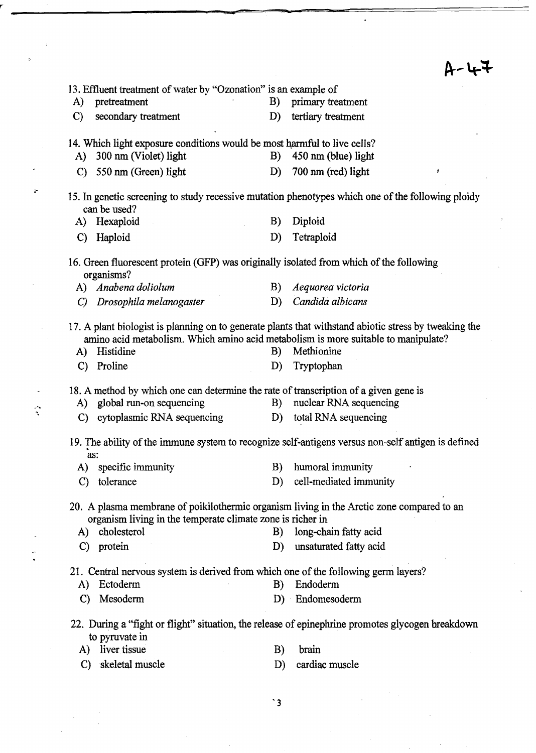|                    |                                                                                                            |          | H - 44                                                                                                                            |
|--------------------|------------------------------------------------------------------------------------------------------------|----------|-----------------------------------------------------------------------------------------------------------------------------------|
|                    | 13. Effluent treatment of water by "Ozonation" is an example of                                            |          |                                                                                                                                   |
| A)                 | pretreatment                                                                                               | B)       | primary treatment                                                                                                                 |
| $\mathbf{C}$       | secondary treatment                                                                                        | D)       | tertiary treatment                                                                                                                |
| A)                 | 14. Which light exposure conditions would be most harmful to live cells?<br>300 nm (Violet) light          | B)       | 450 nm (blue) light                                                                                                               |
| $\mathbf{C}$       | 550 nm (Green) light                                                                                       | D)       | 700 nm (red) light                                                                                                                |
|                    |                                                                                                            |          |                                                                                                                                   |
|                    | can be used?                                                                                               |          | 15. In genetic screening to study recessive mutation phenotypes which one of the following ploidy                                 |
| A)                 | Hexaploid                                                                                                  | B)       | Diploid                                                                                                                           |
| $\mathcal{C}$      | Haploid                                                                                                    | D)       | Tetraploid                                                                                                                        |
|                    | 16. Green fluorescent protein (GFP) was originally isolated from which of the following<br>organisms?      |          |                                                                                                                                   |
|                    | A) Anabena doliolum                                                                                        | B)       | Aequorea victoria                                                                                                                 |
| $\mathcal{C}$      | Drosophila melanogaster                                                                                    | D)       | Candida albicans                                                                                                                  |
| A)<br>$\mathbf{C}$ | amino acid metabolism. Which amino acid metabolism is more suitable to manipulate?<br>Histidine<br>Proline | B)<br>D) | 17. A plant biologist is planning on to generate plants that withstand abiotic stress by tweaking the<br>Methionine<br>Tryptophan |
|                    | 18. A method by which one can determine the rate of transcription of a given gene is                       |          |                                                                                                                                   |
| A)                 | global run-on sequencing                                                                                   | B)       | nuclear RNA sequencing                                                                                                            |
| $\mathbf{C}$       | cytoplasmic RNA sequencing                                                                                 | D)       | total RNA sequencing                                                                                                              |
|                    | as:                                                                                                        |          | 19. The ability of the immune system to recognize self-antigens versus non-self antigen is defined                                |
| A)                 | specific immunity                                                                                          |          | B) humoral immunity                                                                                                               |
| C)                 | tolerance                                                                                                  | D)       | cell-mediated immunity                                                                                                            |
|                    | organism living in the temperate climate zone is richer in                                                 |          | 20. A plasma membrane of poikilothermic organism living in the Arctic zone compared to an                                         |
| A)                 | cholesterol                                                                                                | B)       | long-chain fatty acid                                                                                                             |
| $\mathbf{C}$       | protein                                                                                                    | D)       | unsaturated fatty acid                                                                                                            |
|                    | 21. Central nervous system is derived from which one of the following germ layers?                         |          |                                                                                                                                   |
| A)                 | Ectoderm                                                                                                   | B)       | Endoderm                                                                                                                          |
| $\mathbf{C}$       | Mesoderm                                                                                                   |          | D) Endomesoderm                                                                                                                   |
|                    | to pyruvate in                                                                                             |          | 22. During a "fight or flight" situation, the release of epinephrine promotes glycogen breakdown                                  |
| A)                 | liver tissue                                                                                               | B)       | brain                                                                                                                             |
| $\mathbf{C}$       | skeletal muscle                                                                                            | D)       | cardiac muscle                                                                                                                    |
|                    |                                                                                                            |          |                                                                                                                                   |

-

**-**

.'"

'3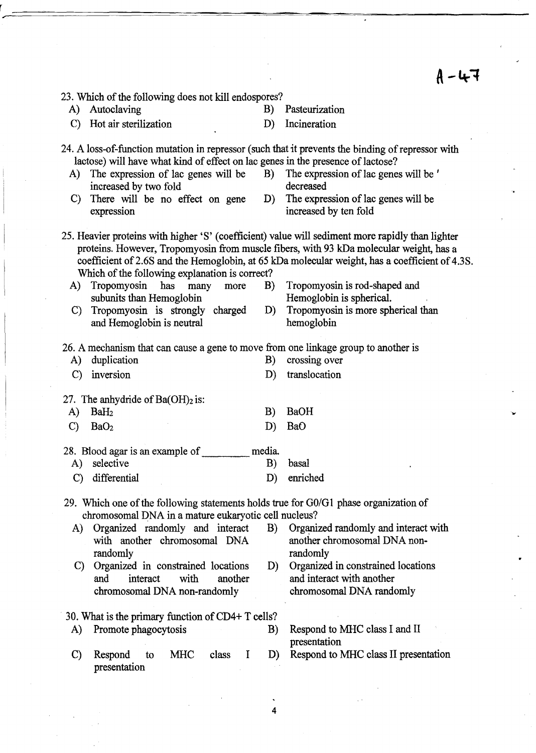$A - 47$ 

...

|               | 23. Which of the following does not kill endospores?                                                                                         |        |                                                                                                                                                                                                                                                                                              |
|---------------|----------------------------------------------------------------------------------------------------------------------------------------------|--------|----------------------------------------------------------------------------------------------------------------------------------------------------------------------------------------------------------------------------------------------------------------------------------------------|
| A)            | Autoclaving                                                                                                                                  | B)     | Pasteurization                                                                                                                                                                                                                                                                               |
| $\mathbf{C}$  | Hot air sterilization                                                                                                                        | D)     | Incineration                                                                                                                                                                                                                                                                                 |
|               |                                                                                                                                              |        | 24. A loss-of-function mutation in repressor (such that it prevents the binding of repressor with                                                                                                                                                                                            |
|               | lactose) will have what kind of effect on lac genes in the presence of lactose?                                                              |        |                                                                                                                                                                                                                                                                                              |
|               | A) The expression of lac genes will be<br>increased by two fold                                                                              | B)     | The expression of lac genes will be '<br>decreased                                                                                                                                                                                                                                           |
| $\mathbf{C}$  | There will be no effect on gene<br>expression                                                                                                | D)     | The expression of lac genes will be<br>increased by ten fold                                                                                                                                                                                                                                 |
|               | Which of the following explanation is correct?                                                                                               |        | 25. Heavier proteins with higher 'S' (coefficient) value will sediment more rapidly than lighter<br>proteins. However, Tropomyosin from muscle fibers, with 93 kDa molecular weight, has a<br>coefficient of 2.6S and the Hemoglobin, at 65 kDa molecular weight, has a coefficient of 4.3S. |
| A)            | Tropomyosin<br>has<br>many<br>more<br>subunits than Hemoglobin                                                                               | B)     | Tropomyosin is rod-shaped and<br>Hemoglobin is spherical.                                                                                                                                                                                                                                    |
| $\mathbf{C}$  | Tropomyosin is strongly charged<br>and Hemoglobin is neutral                                                                                 | D)     | Tropomyosin is more spherical than<br>hemoglobin                                                                                                                                                                                                                                             |
|               | 26. A mechanism that can cause a gene to move from one linkage group to another is                                                           |        |                                                                                                                                                                                                                                                                                              |
| A)            | duplication                                                                                                                                  | B)     | crossing over                                                                                                                                                                                                                                                                                |
| $\mathcal{C}$ | inversion                                                                                                                                    | D)     | translocation                                                                                                                                                                                                                                                                                |
|               | 27. The anhydride of $Ba(OH)_2$ is:                                                                                                          |        |                                                                                                                                                                                                                                                                                              |
| A)            | BaH <sub>2</sub>                                                                                                                             | B)     | <b>BaOH</b>                                                                                                                                                                                                                                                                                  |
| $\mathcal{C}$ | BaO <sub>2</sub>                                                                                                                             | D)     | BaO                                                                                                                                                                                                                                                                                          |
|               | 28. Blood agar is an example of                                                                                                              | media. |                                                                                                                                                                                                                                                                                              |
| A)            | selective                                                                                                                                    | B)     | basal                                                                                                                                                                                                                                                                                        |
| $\mathcal{C}$ | differential                                                                                                                                 | D)     | enriched                                                                                                                                                                                                                                                                                     |
|               | 29. Which one of the following statements holds true for G0/G1 phase organization of<br>chromosomal DNA in a mature eukaryotic cell nucleus? |        |                                                                                                                                                                                                                                                                                              |
| A)            | Organized randomly and interact                                                                                                              | B)     | Organized randomly and interact with                                                                                                                                                                                                                                                         |
|               | with another chromosomal DNA<br>randomly                                                                                                     |        | another chromosomal DNA non-<br>randomly                                                                                                                                                                                                                                                     |
| $\mathbf{C}$  | Organized in constrained locations                                                                                                           | D)     | Organized in constrained locations                                                                                                                                                                                                                                                           |
|               | with<br>and<br>interact<br>another                                                                                                           |        | and interact with another                                                                                                                                                                                                                                                                    |
|               | chromosomal DNA non-randomly                                                                                                                 |        | chromosomal DNA randomly                                                                                                                                                                                                                                                                     |
|               | 30. What is the primary function of CD4+ T cells?                                                                                            |        |                                                                                                                                                                                                                                                                                              |
| A)            | Promote phagocytosis                                                                                                                         | B)     | Respond to MHC class I and II                                                                                                                                                                                                                                                                |
| $\mathbf{C}$  | <b>MHC</b><br>class<br>I<br>Respond<br>to<br>presentation                                                                                    | D)     | presentation<br>Respond to MHC class II presentation                                                                                                                                                                                                                                         |

4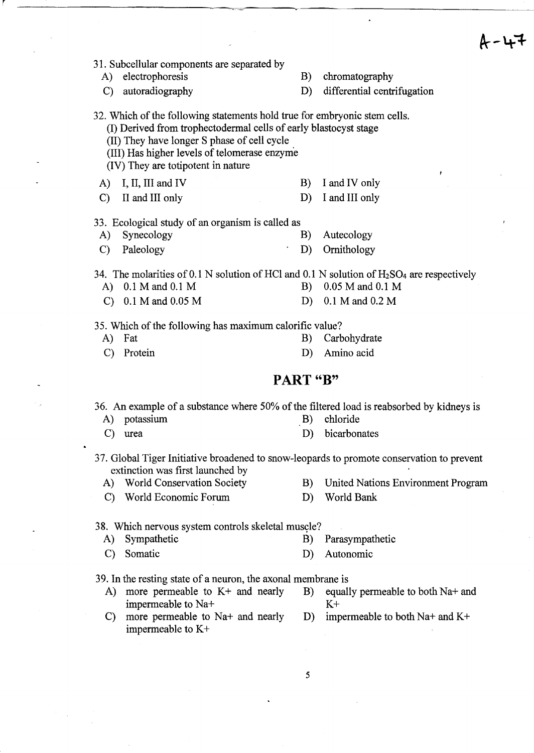$A - 47$ 

|               |                                                                                                                                                                                                                                                                                    |          | Æ                                             |
|---------------|------------------------------------------------------------------------------------------------------------------------------------------------------------------------------------------------------------------------------------------------------------------------------------|----------|-----------------------------------------------|
|               | 31. Subcellular components are separated by<br>A) electrophoresis<br>C) autoradiography                                                                                                                                                                                            | B)<br>D) | chromatography<br>differential centrifugation |
|               | 32. Which of the following statements hold true for embryonic stem cells.<br>(I) Derived from trophectodermal cells of early blastocyst stage<br>(II) They have longer S phase of cell cycle<br>(III) Has higher levels of telomerase enzyme<br>(IV) They are totipotent in nature |          | ¥                                             |
| A)            | I, II, III and IV                                                                                                                                                                                                                                                                  |          | B) I and IV only                              |
| $\mathbf{C}$  | II and III only                                                                                                                                                                                                                                                                    | D)       | I and III only                                |
|               | 33. Ecological study of an organism is called as                                                                                                                                                                                                                                   |          |                                               |
| A)            | Synecology                                                                                                                                                                                                                                                                         | B)       | Autecology                                    |
| $\mathbf{C}$  | Paleology                                                                                                                                                                                                                                                                          | D)       | Ornithology                                   |
|               | 34. The molarities of 0.1 N solution of HCl and 0.1 N solution of $H_2SO_4$ are respectively<br>A) $0.1 M$ and $0.1 M$                                                                                                                                                             | B)       | 0.05 M and 0.1 M                              |
|               | C) $0.1 M$ and $0.05 M$                                                                                                                                                                                                                                                            | D)       | 0.1 M and 0.2 M                               |
|               |                                                                                                                                                                                                                                                                                    |          |                                               |
|               | 35. Which of the following has maximum calorific value?                                                                                                                                                                                                                            |          |                                               |
|               | A) Fat                                                                                                                                                                                                                                                                             | B)       | Carbohydrate                                  |
| $\mathcal{C}$ | Protein                                                                                                                                                                                                                                                                            | D)       | Amino acid                                    |
|               | PART "B"                                                                                                                                                                                                                                                                           |          |                                               |
|               | 36. An example of a substance where 50% of the filtered load is reabsorbed by kidneys is                                                                                                                                                                                           |          |                                               |
|               | A) potassium                                                                                                                                                                                                                                                                       | B)       | chloride                                      |
|               | $C)$ urea                                                                                                                                                                                                                                                                          |          | D) bicarbonates                               |
|               | 37. Global Tiger Initiative broadened to snow-leopards to promote conservation to prevent<br>extinction was first launched by                                                                                                                                                      |          |                                               |
| A)            | <b>World Conservation Society</b>                                                                                                                                                                                                                                                  | B)       | United Nations Environment Program            |
| $\mathcal{C}$ | World Economic Forum                                                                                                                                                                                                                                                               | D)       | World Bank                                    |
|               | 38. Which nervous system controls skeletal muscle?                                                                                                                                                                                                                                 |          |                                               |
| A)            | Sympathetic                                                                                                                                                                                                                                                                        | B)       | Parasympathetic                               |
| $\mathcal{C}$ | Somatic                                                                                                                                                                                                                                                                            | D)       | Autonomic                                     |
|               | 39. In the resting state of a neuron, the axonal membrane is                                                                                                                                                                                                                       |          |                                               |
| A)            | more permeable to $K+$ and nearly                                                                                                                                                                                                                                                  | B)       | equally permeable to both Na+ and             |

impermeable to Na+<br>more permeable to Na+ and nearly D) impermeable to both Na+ and K+ C) more permeable to  $Na+$  and nearly  $D$ ) impermeable to  $K$ +

5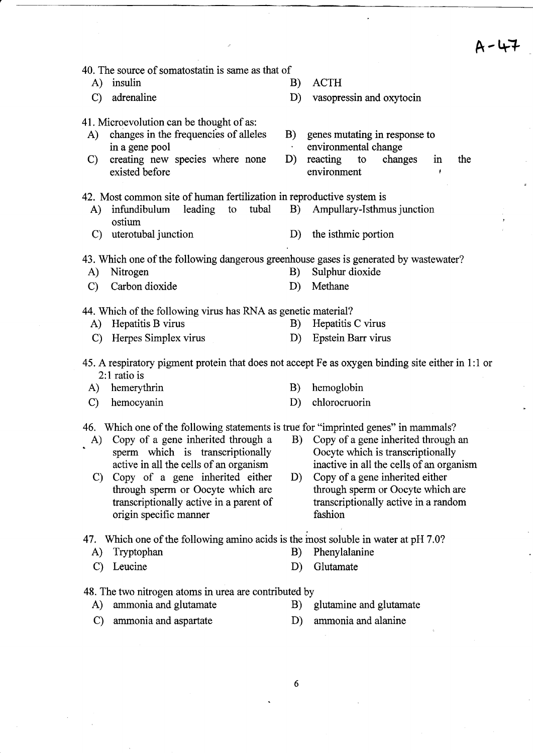$A - 47$ 

|  |  |  | 40. The source of somatostatin is same as that of |  |  |  |  |
|--|--|--|---------------------------------------------------|--|--|--|--|
|  |  |  |                                                   |  |  |  |  |

- A) insulin B) ACTH
- 
- 41. Microevolution can be thought of as:
	- A) changes in the frequencies of alleles in a gene pool
	- C) creating new species where none existed before
- 

C) adrenaline D) vasopressin and oxytocin

- B) genes mutating in response to environmental change
- D) reacting to changes in the environment
- 42. Most common site of human fertilization in reproductive system is
	- A) infundibulum leading to tubal B) Ampullary-Isthmus junction ostium
	- C) uterotubal junction D) the isthmic portion

43. Which one of the following dangerous greenhouse gases is generated by wastewater?

A) Nitrogen B) Sulphur dioxide C) Carbon dioxide D) Methane

44. Which of the following virus has RNA as genetic material?

- A) Hepatitis B virus B) Hepatitis C virus
- C) Herpes Simplex virus D) Epstein Barr virus
- 45. A respiratory pigment protein that does not accept Fe as oxygen binding site either in 1: 1 or  $2:1$  ratio is
	- A) hemerythrin B) hemoglobin
		-
	- C) hemocyanin D) chlorocruorin
- 46. Which one of the following statements is true for "imprinted genes" in mammals?
- sperm which is transcriptionally Oocyte which is transcriptionally
	- C) Copy of a gene inherited either D) Copy of a gene inherited either origin specific manner fashion
- A) Copy of a gene inherited through a B) Copy of a gene inherited through an active in all the cells of an organism inactive in all the cells of an organism
	- through sperm or Oocyte which are through sperm or Oocyte which are transcriptionally active in a parent of transcriptionally active in a random

47. Which one of the following amino acids is the most soluble in water at pH 7.0?

- 
- A) Tryptophan B) Phenylalanine
- C) Leucine D) Glutamate
- -
- 48. The two nitrogen atoms in urea are contributed by
	- A) ammonia and glutamate B) glutamine and glutamate
		-
	- C) ammonia and aspartate D) ammonia and alanine
-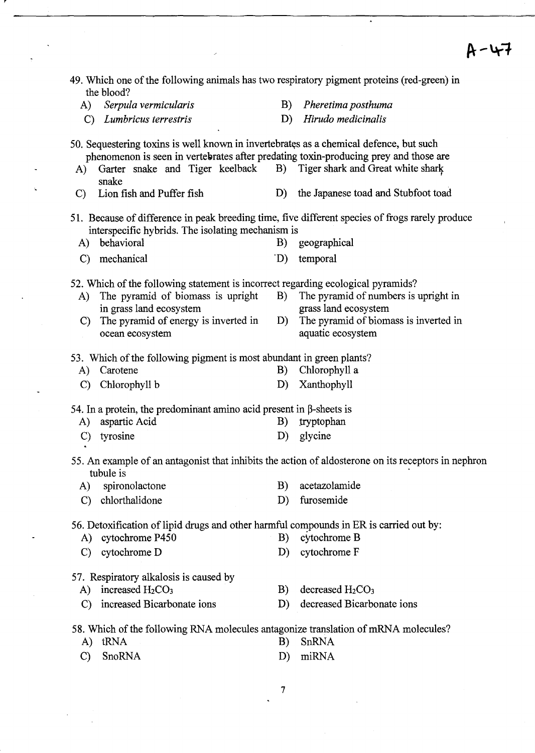| 49. Which one of the following animals has two respiratory pigment proteins (red-green) in                                                           |    |                                       |
|------------------------------------------------------------------------------------------------------------------------------------------------------|----|---------------------------------------|
| the blood?<br>Serpula vermicularis<br>A)                                                                                                             | B) | Pheretima posthuma                    |
| Lumbricus terrestris<br>$\mathbf{C}$                                                                                                                 | D) | Hirudo medicinalis                    |
|                                                                                                                                                      |    |                                       |
| 50. Sequestering toxins is well known in invertebrates as a chemical defence, but such                                                               |    |                                       |
| phenomenon is seen in vertebrates after predating toxin-producing prey and those are<br>Garter snake and Tiger keelback                              |    | B) Tiger shark and Great white shark  |
| A)<br>snake                                                                                                                                          |    |                                       |
| Lion fish and Puffer fish<br>$\mathcal{C}$                                                                                                           | D) | the Japanese toad and Stubfoot toad   |
| 51. Because of difference in peak breeding time, five different species of frogs rarely produce<br>interspecific hybrids. The isolating mechanism is |    |                                       |
| behavioral<br>A)                                                                                                                                     | B) | geographical                          |
| mechanical<br>$\mathcal{C}$                                                                                                                          | D) | temporal                              |
|                                                                                                                                                      |    |                                       |
| 52. Which of the following statement is incorrect regarding ecological pyramids?<br>The pyramid of biomass is upright<br>A)                          | B) | The pyramid of numbers is upright in  |
| in grass land ecosystem                                                                                                                              |    | grass land ecosystem                  |
| The pyramid of energy is inverted in<br>$\mathbf{C}$                                                                                                 | D) | The pyramid of biomass is inverted in |
| ocean ecosystem                                                                                                                                      |    | aquatic ecosystem                     |
| 53. Which of the following pigment is most abundant in green plants?                                                                                 |    |                                       |
| Carotene<br>A)                                                                                                                                       | B) | Chlorophyll a                         |
| Chlorophyll b<br>$\mathbf{C}$                                                                                                                        | D) | Xanthophyll                           |
|                                                                                                                                                      |    |                                       |
| 54. In a protein, the predominant amino acid present in $\beta$ -sheets is<br>aspartic Acid<br>A)                                                    | B) | tryptophan                            |
| tyrosine<br>$\mathcal{C}$                                                                                                                            | D) | glycine                               |
|                                                                                                                                                      |    |                                       |
| 55. An example of an antagonist that inhibits the action of aldosterone on its receptors in nephron<br>tubule is                                     |    |                                       |
| A)<br>spironolactone                                                                                                                                 | B) | acetazolamide                         |
| chlorthalidone<br>$\mathbf{C}$                                                                                                                       | D) | furosemide                            |
| 56. Detoxification of lipid drugs and other harmful compounds in ER is carried out by:<br>cytochrome P450<br>A)                                      | B) | cytochrome B                          |
| cytochrome D<br>$\mathbf{C}$                                                                                                                         | D) | cytochrome F                          |
|                                                                                                                                                      |    |                                       |
| 57. Respiratory alkalosis is caused by                                                                                                               |    |                                       |
| increased $H_2CO_3$<br>A)                                                                                                                            | B) | decreased $H_2CO_3$                   |
| increased Bicarbonate ions<br>$\mathcal{C}$                                                                                                          | D) | decreased Bicarbonate ions            |
| 58. Which of the following RNA molecules antagonize translation of mRNA molecules?                                                                   |    |                                       |
| tRNA<br>A)                                                                                                                                           | B) | SnRNA                                 |
| SnoRNA<br>$\mathcal{C}$                                                                                                                              | D) | miRNA                                 |
|                                                                                                                                                      |    |                                       |

 $\overline{\phantom{a}}$ 

 $\ddot{\phantom{a}}$ 

 $\ddot{\phantom{a}}$ 

 $\ddot{\phantom{0}}$ 

Ń

7

 $\ddot{\phantom{0}}$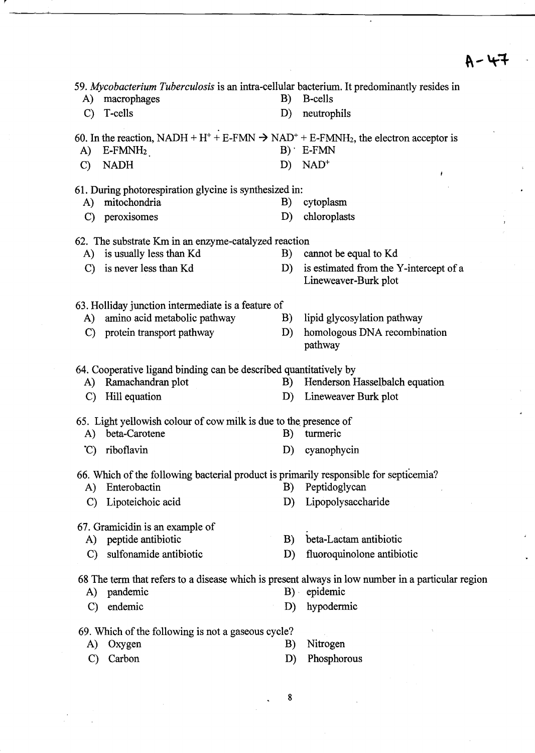$A - 47$ 

|               | 59. Mycobacterium Tuberculosis is an intra-cellular bacterium. It predominantly resides in                                         |       |                                                                                                   |
|---------------|------------------------------------------------------------------------------------------------------------------------------------|-------|---------------------------------------------------------------------------------------------------|
| A)            | macrophages                                                                                                                        | B)    | <b>B-cells</b>                                                                                    |
|               | C) T-cells                                                                                                                         | D)    | neutrophils                                                                                       |
|               | 60. In the reaction, NADH + H <sup>+</sup> + E-FMN $\rightarrow$ NAD <sup>+</sup> + E-FMNH <sub>2</sub> , the electron acceptor is |       |                                                                                                   |
| A)            | $E$ -FMN $H_2$                                                                                                                     |       | $B)$ E-FMN                                                                                        |
| $\mathcal{C}$ | <b>NADH</b>                                                                                                                        | $D$ ) | $NAD+$                                                                                            |
|               |                                                                                                                                    |       | ٠                                                                                                 |
|               | 61. During photorespiration glycine is synthesized in:                                                                             |       |                                                                                                   |
| A)            | mitochondria                                                                                                                       | B)    | cytoplasm                                                                                         |
| $\mathbf{C}$  | peroxisomes                                                                                                                        | D)    | chloroplasts                                                                                      |
|               | 62. The substrate Km in an enzyme-catalyzed reaction                                                                               |       |                                                                                                   |
|               | A) is usually less than Kd                                                                                                         | B)    | cannot be equal to Kd                                                                             |
| $\mathbf{C}$  | is never less than Kd                                                                                                              | D)    | is estimated from the Y-intercept of a                                                            |
|               |                                                                                                                                    |       | Lineweaver-Burk plot                                                                              |
|               | 63. Holliday junction intermediate is a feature of                                                                                 |       |                                                                                                   |
| A)            | amino acid metabolic pathway                                                                                                       | B)    | lipid glycosylation pathway                                                                       |
| $\mathbf{C}$  | protein transport pathway                                                                                                          | D)    | homologous DNA recombination                                                                      |
|               |                                                                                                                                    |       | pathway                                                                                           |
|               |                                                                                                                                    |       |                                                                                                   |
|               | 64. Cooperative ligand binding can be described quantitatively by                                                                  |       |                                                                                                   |
| A)            | Ramachandran plot                                                                                                                  | B)    | Henderson Hasselbalch equation                                                                    |
| $\mathbf{C}$  | Hill equation                                                                                                                      | D)    | Lineweaver Burk plot                                                                              |
|               | 65. Light yellowish colour of cow milk is due to the presence of                                                                   |       |                                                                                                   |
| A)            | beta-Carotene                                                                                                                      | B)    | turmeric                                                                                          |
| $\mathcal{C}$ | riboflavin                                                                                                                         | D)    | cyanophycin                                                                                       |
|               |                                                                                                                                    |       |                                                                                                   |
|               | 66. Which of the following bacterial product is primarily responsible for septicemia?                                              |       |                                                                                                   |
| A)            | Enterobactin                                                                                                                       | B)    | Peptidoglycan                                                                                     |
| $\mathcal{C}$ | Lipoteichoic acid                                                                                                                  | D)    | Lipopolysaccharide                                                                                |
|               | 67. Gramicidin is an example of                                                                                                    |       |                                                                                                   |
| A)            | peptide antibiotic                                                                                                                 | B)    | beta-Lactam antibiotic                                                                            |
| $\mathcal{C}$ | sulfonamide antibiotic                                                                                                             | D)    | fluoroquinolone antibiotic                                                                        |
|               |                                                                                                                                    |       |                                                                                                   |
|               |                                                                                                                                    |       | 68 The term that refers to a disease which is present always in low number in a particular region |
| A)            | pandemic                                                                                                                           |       | $B)$ epidemic                                                                                     |
| $\mathcal{C}$ | endemic                                                                                                                            | D)    | hypodermic                                                                                        |
|               | 69. Which of the following is not a gaseous cycle?                                                                                 |       |                                                                                                   |
| A)            | Oxygen                                                                                                                             | B)    | Nitrogen                                                                                          |
| C)            | Carbon                                                                                                                             | D)    | Phosphorous                                                                                       |

8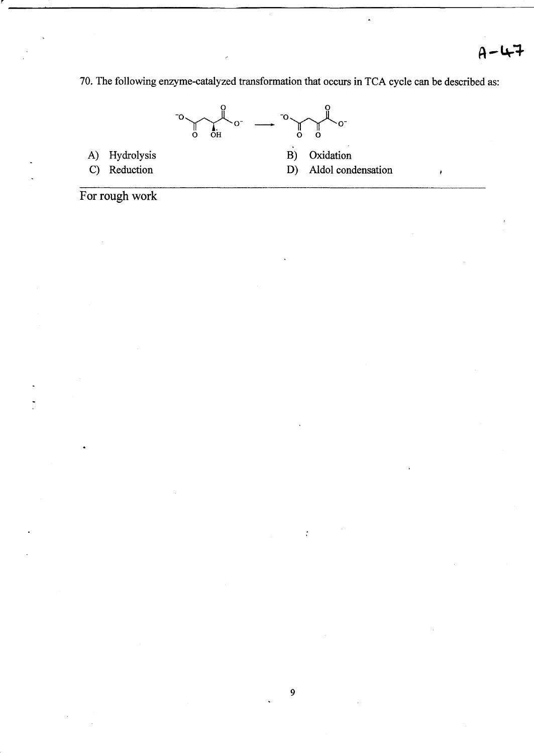70. The following enzyme-catalyzed transformation that occurs in TCA cycle can be described as:

----------------------------------------------------------------------------------



For rough work

r

 $\ddot{\cdot}$